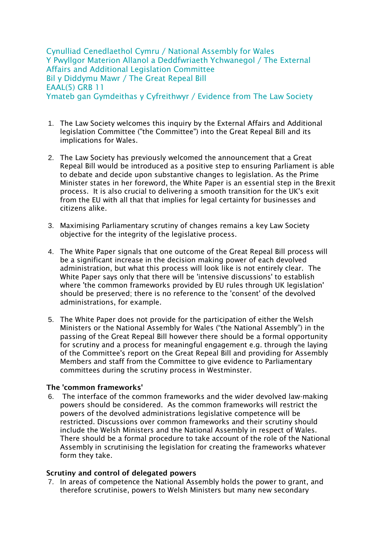Cynulliad Cenedlaethol Cymru / National Assembly for Wales Y Pwyllgor Materion Allanol a Deddfwriaeth Ychwanegol / The External Affairs and Additional Legislation Committee Bil y Diddymu Mawr / The Great Repeal Bill EAAL(5) GRB 11 Ymateb gan Gymdeithas y Cyfreithwyr / Evidence from The Law Society

- 1. The Law Society welcomes this inquiry by the External Affairs and Additional legislation Committee ("the Committee") into the Great Repeal Bill and its implications for Wales.
- 2. The Law Society has previously welcomed the announcement that a Great Repeal Bill would be introduced as a positive step to ensuring Parliament is able to debate and decide upon substantive changes to legislation. As the Prime Minister states in her foreword, the White Paper is an essential step in the Brexit process. It is also crucial to delivering a smooth transition for the UK's exit from the EU with all that that implies for legal certainty for businesses and citizens alike.
- 3. Maximising Parliamentary scrutiny of changes remains a key Law Society objective for the integrity of the legislative process.
- 4. The White Paper signals that one outcome of the Great Repeal Bill process will be a significant increase in the decision making power of each devolved administration, but what this process will look like is not entirely clear. The White Paper says only that there will be 'intensive discussions' to establish where 'the common frameworks provided by EU rules through UK legislation' should be preserved; there is no reference to the 'consent' of the devolved administrations, for example.
- 5. The White Paper does not provide for the participation of either the Welsh Ministers or the National Assembly for Wales ("the National Assembly") in the passing of the Great Repeal Bill however there should be a formal opportunity for scrutiny and a process for meaningful engagement e.g. through the laying of the Committee's report on the Great Repeal Bill and providing for Assembly Members and staff from the Committee to give evidence to Parliamentary committees during the scrutiny process in Westminster.

## **The 'common frameworks'**

6. The interface of the common frameworks and the wider devolved law-making powers should be considered. As the common frameworks will restrict the powers of the devolved administrations legislative competence will be restricted. Discussions over common frameworks and their scrutiny should include the Welsh Ministers and the National Assembly in respect of Wales. There should be a formal procedure to take account of the role of the National Assembly in scrutinising the legislation for creating the frameworks whatever form they take.

## **Scrutiny and control of delegated powers**

7. In areas of competence the National Assembly holds the power to grant, and therefore scrutinise, powers to Welsh Ministers but many new secondary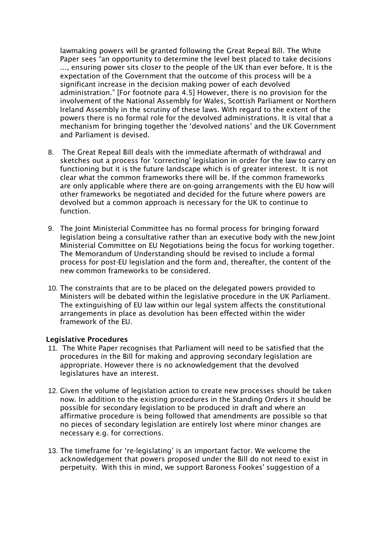lawmaking powers will be granted following the Great Repeal Bill. The White Paper sees "an opportunity to determine the level best placed to take decisions ..., ensuring power sits closer to the people of the UK than ever before. It is the expectation of the Government that the outcome of this process will be a significant increase in the decision making power of each devolved administration." [For footnote para 4.5] However, there is no provision for the involvement of the National Assembly for Wales, Scottish Parliament or Northern Ireland Assembly in the scrutiny of these laws. With regard to the extent of the powers there is no formal role for the devolved administrations. It is vital that a mechanism for bringing together the 'devolved nations' and the UK Government and Parliament is devised.

- 8. The Great Repeal Bill deals with the immediate aftermath of withdrawal and sketches out a process for 'correcting' legislation in order for the law to carry on functioning but it is the future landscape which is of greater interest. It is not clear what the common frameworks there will be. If the common frameworks are only applicable where there are on-going arrangements with the EU how will other frameworks be negotiated and decided for the future where powers are devolved but a common approach is necessary for the UK to continue to function.
- 9. The Joint Ministerial Committee has no formal process for bringing forward legislation being a consultative rather than an executive body with the new Joint Ministerial Committee on EU Negotiations being the focus for working together. The Memorandum of Understanding should be revised to include a formal process for post-EU legislation and the form and, thereafter, the content of the new common frameworks to be considered.
- 10. The constraints that are to be placed on the delegated powers provided to Ministers will be debated within the legislative procedure in the UK Parliament. The extinguishing of EU law within our legal system affects the constitutional arrangements in place as devolution has been effected within the wider framework of the EU.

## **Legislative Procedures**

- 11. The White Paper recognises that Parliament will need to be satisfied that the procedures in the Bill for making and approving secondary legislation are appropriate. However there is no acknowledgement that the devolved legislatures have an interest.
- 12. Given the volume of legislation action to create new processes should be taken now. In addition to the existing procedures in the Standing Orders it should be possible for secondary legislation to be produced in draft and where an affirmative procedure is being followed that amendments are possible so that no pieces of secondary legislation are entirely lost where minor changes are necessary e.g. for corrections.
- 13. The timeframe for 're-legislating' is an important factor. We welcome the acknowledgement that powers proposed under the Bill do not need to exist in perpetuity. With this in mind, we support Baroness Fookes' suggestion of a